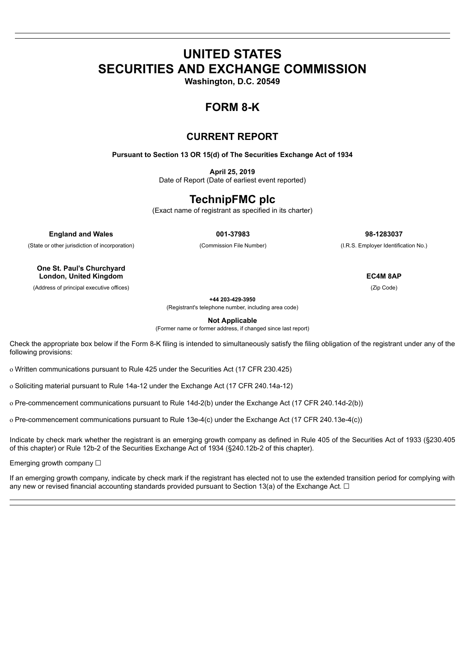# **UNITED STATES SECURITIES AND EXCHANGE COMMISSION**

**Washington, D.C. 20549**

# **FORM 8-K**

## **CURRENT REPORT**

**Pursuant to Section 13 OR 15(d) of The Securities Exchange Act of 1934**

**April 25, 2019**

Date of Report (Date of earliest event reported)

# **TechnipFMC plc**

(Exact name of registrant as specified in its charter)

**England and Wales 001-37983 98-1283037**

(State or other jurisdiction of incorporation) (Commission File Number) (I.R.S. Employer Identification No.)

**One St. Paul's Churchyard London, United Kingdom EC4M 8AP**

(Address of principal executive offices) (Zip Code)

**+44 203-429-3950**

(Registrant's telephone number, including area code)

**Not Applicable**

(Former name or former address, if changed since last report)

Check the appropriate box below if the Form 8-K filing is intended to simultaneously satisfy the filing obligation of the registrant under any of the following provisions:

o Written communications pursuant to Rule 425 under the Securities Act (17 CFR 230.425)

o Soliciting material pursuant to Rule 14a-12 under the Exchange Act (17 CFR 240.14a-12)

o Pre-commencement communications pursuant to Rule 14d-2(b) under the Exchange Act (17 CFR 240.14d-2(b))

o Pre-commencement communications pursuant to Rule 13e-4(c) under the Exchange Act (17 CFR 240.13e-4(c))

Indicate by check mark whether the registrant is an emerging growth company as defined in Rule 405 of the Securities Act of 1933 (§230.405 of this chapter) or Rule 12b-2 of the Securities Exchange Act of 1934 (§240.12b-2 of this chapter).

Emerging growth company □

If an emerging growth company, indicate by check mark if the registrant has elected not to use the extended transition period for complying with any new or revised financial accounting standards provided pursuant to Section 13(a) of the Exchange Act.  $\Box$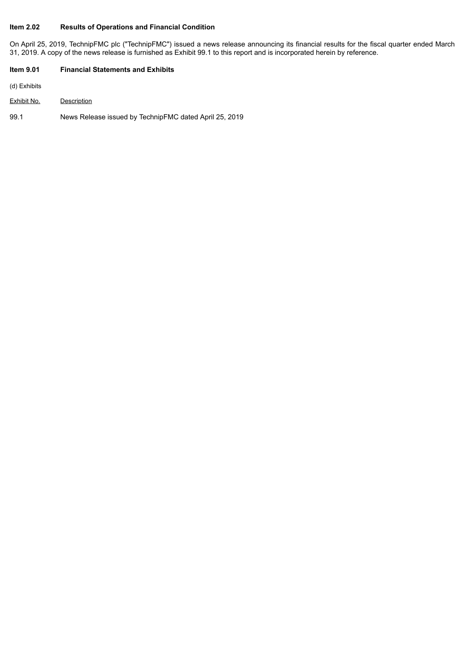#### **Item 2.02 Results of Operations and Financial Condition**

On April 25, 2019, TechnipFMC plc ("TechnipFMC") issued a news release announcing its financial results for the fiscal quarter ended March 31, 2019. A copy of the news release is furnished as Exhibit 99.1 to this report and is incorporated herein by reference.

#### **Item 9.01 Financial Statements and Exhibits**

(d) Exhibits

Exhibit No. Description

99.1 News Release issued by TechnipFMC dated April 25, 2019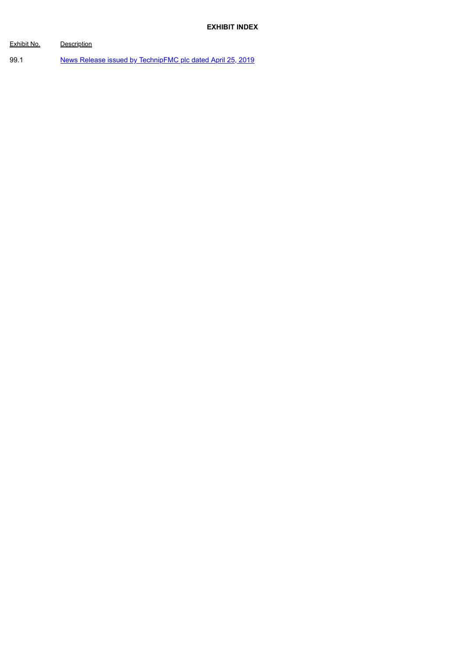| Exhibit No. | Description                                                |
|-------------|------------------------------------------------------------|
| 99.1        | News Release issued by TechnipFMC plc dated April 25, 2019 |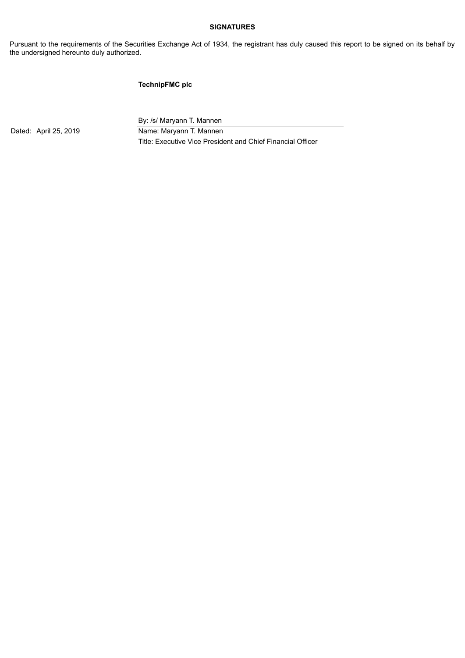#### **SIGNATURES**

Pursuant to the requirements of the Securities Exchange Act of 1934, the registrant has duly caused this report to be signed on its behalf by the undersigned hereunto duly authorized.

#### **TechnipFMC plc**

By: /s/ Maryann T. Mannen

Dated: April 25, 2019 Name: Maryann T. Mannen Title: Executive Vice President and Chief Financial Officer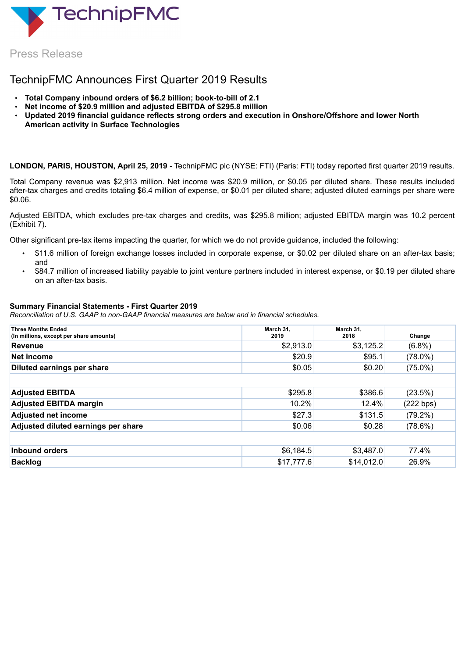<span id="page-4-0"></span>

Press Release

## TechnipFMC Announces First Quarter 2019 Results

- **Total Company inbound orders of \$6.2 billion; book-to-bill of 2.1**
- **Net income of \$20.9 million and adjusted EBITDA of \$295.8 million**
- **Updated 2019 financial guidance reflects strong orders and execution in Onshore/Offshore and lower North American activity in Surface Technologies**

**LONDON, PARIS, HOUSTON, April 25, 2019 -** TechnipFMC plc (NYSE: FTI) (Paris: FTI) today reported first quarter 2019 results.

Total Company revenue was \$2,913 million. Net income was \$20.9 million, or \$0.05 per diluted share. These results included after-tax charges and credits totaling \$6.4 million of expense, or \$0.01 per diluted share; adjusted diluted earnings per share were \$0.06.

Adjusted EBITDA, which excludes pre-tax charges and credits, was \$295.8 million; adjusted EBITDA margin was 10.2 percent (Exhibit 7).

Other significant pre-tax items impacting the quarter, for which we do not provide guidance, included the following:

- \$11.6 million of foreign exchange losses included in corporate expense, or \$0.02 per diluted share on an after-tax basis; and
- \$84.7 million of increased liability payable to joint venture partners included in interest expense, or \$0.19 per diluted share on an after-tax basis.

### **Summary Financial Statements - First Quarter 2019**

*Reconciliation of U.S. GAAP to non-GAAP financial measures are below and in financial schedules.*

| <b>Three Months Ended</b><br>(In millions, except per share amounts) | March 31,<br>2019 | March 31,<br>2018 | Change     |
|----------------------------------------------------------------------|-------------------|-------------------|------------|
| <b>Revenue</b>                                                       | \$2,913.0         | \$3,125.2         | $(6.8\%)$  |
| Net income                                                           | \$20.9            | \$95.1            | $(78.0\%)$ |
| Diluted earnings per share                                           | \$0.05            | \$0.20            | $(75.0\%)$ |
|                                                                      |                   |                   |            |
| <b>Adjusted EBITDA</b>                                               | \$295.8           | \$386.6           | (23.5%)    |
| <b>Adjusted EBITDA margin</b>                                        | 10.2%             | 12.4%             | (222 bps)  |
| <b>Adjusted net income</b>                                           | \$27.3            | \$131.5           | $(79.2\%)$ |
| Adjusted diluted earnings per share                                  | \$0.06            | \$0.28            | (78.6%)    |
|                                                                      |                   |                   |            |
| Inbound orders                                                       | \$6,184.5         | \$3,487.0         | 77.4%      |
| <b>Backlog</b>                                                       | \$17,777.6        | \$14,012.0        | 26.9%      |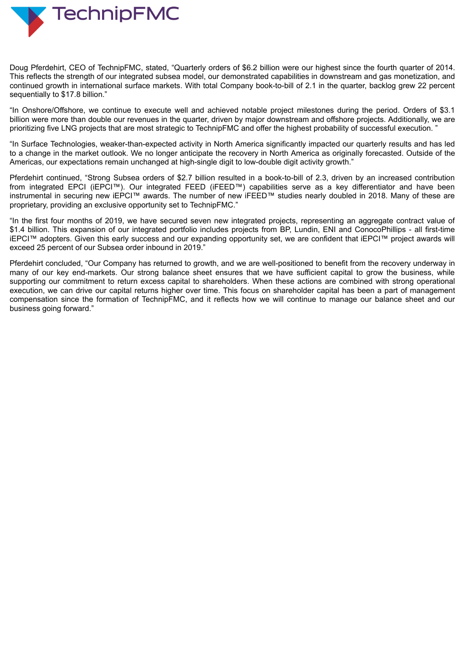

Doug Pferdehirt, CEO of TechnipFMC, stated, "Quarterly orders of \$6.2 billion were our highest since the fourth quarter of 2014. This reflects the strength of our integrated subsea model, our demonstrated capabilities in downstream and gas monetization, and continued growth in international surface markets. With total Company book-to-bill of 2.1 in the quarter, backlog grew 22 percent sequentially to \$17.8 billion."

"In Onshore/Offshore, we continue to execute well and achieved notable project milestones during the period. Orders of \$3.1 billion were more than double our revenues in the quarter, driven by major downstream and offshore projects. Additionally, we are prioritizing five LNG projects that are most strategic to TechnipFMC and offer the highest probability of successful execution. "

"In Surface Technologies, weaker-than-expected activity in North America significantly impacted our quarterly results and has led to a change in the market outlook. We no longer anticipate the recovery in North America as originally forecasted. Outside of the Americas, our expectations remain unchanged at high-single digit to low-double digit activity growth."

Pferdehirt continued, "Strong Subsea orders of \$2.7 billion resulted in a book-to-bill of 2.3, driven by an increased contribution from integrated EPCI (iEPCI™). Our integrated FEED (iFEED™) capabilities serve as a key differentiator and have been instrumental in securing new iEPCI™ awards. The number of new iFEED™ studies nearly doubled in 2018. Many of these are proprietary, providing an exclusive opportunity set to TechnipFMC."

"In the first four months of 2019, we have secured seven new integrated projects, representing an aggregate contract value of \$1.4 billion. This expansion of our integrated portfolio includes projects from BP, Lundin, ENI and ConocoPhillips - all first-time iEPCI™ adopters. Given this early success and our expanding opportunity set, we are confident that iEPCI™ project awards will exceed 25 percent of our Subsea order inbound in 2019."

Pferdehirt concluded, "Our Company has returned to growth, and we are well-positioned to benefit from the recovery underway in many of our key end-markets. Our strong balance sheet ensures that we have sufficient capital to grow the business, while supporting our commitment to return excess capital to shareholders. When these actions are combined with strong operational execution, we can drive our capital returns higher over time. This focus on shareholder capital has been a part of management compensation since the formation of TechnipFMC, and it reflects how we will continue to manage our balance sheet and our business going forward."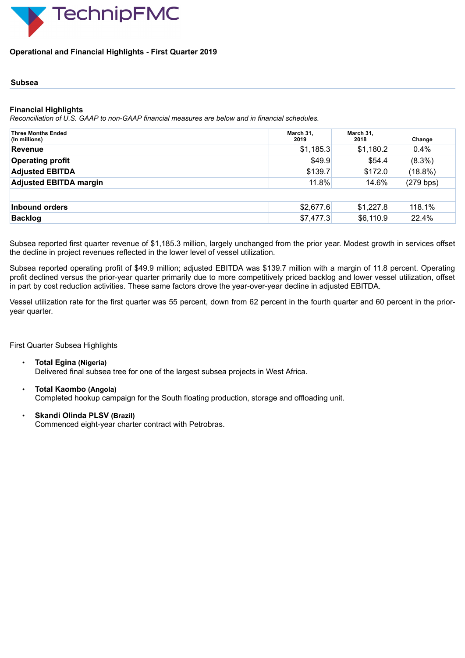

#### **Operational and Financial Highlights - First Quarter 2019**

#### **Subsea**

#### **Financial Highlights**

*Reconciliation of U.S. GAAP to non-GAAP financial measures are below and in financial schedules.*

| <b>Three Months Ended</b><br>(In millions) | March 31,<br>2019              | March 31,<br>2018 | Change      |
|--------------------------------------------|--------------------------------|-------------------|-------------|
| Revenue                                    | 0.4%<br>\$1,185.3<br>\$1,180.2 |                   |             |
| <b>Operating profit</b>                    | \$49.9                         | \$54.4]           | $(8.3\%)$   |
| <b>Adjusted EBITDA</b>                     | \$139.7                        | \$172.0           | $(18.8\%)$  |
| <b>Adjusted EBITDA margin</b>              | 11.8%                          | 14.6%             | $(279$ bps) |
|                                            |                                |                   |             |
| Inbound orders                             | \$2,677.6                      | \$1,227.8         | 118.1%      |
| <b>Backlog</b>                             | \$7,477.3                      | \$6,110.9         | 22.4%       |

Subsea reported first quarter revenue of \$1,185.3 million, largely unchanged from the prior year. Modest growth in services offset the decline in project revenues reflected in the lower level of vessel utilization.

Subsea reported operating profit of \$49.9 million; adjusted EBITDA was \$139.7 million with a margin of 11.8 percent. Operating profit declined versus the prior-year quarter primarily due to more competitively priced backlog and lower vessel utilization, offset in part by cost reduction activities. These same factors drove the year-over-year decline in adjusted EBITDA.

Vessel utilization rate for the first quarter was 55 percent, down from 62 percent in the fourth quarter and 60 percent in the prioryear quarter.

First Quarter Subsea Highlights

- **Total Egina (Nigeria)** Delivered final subsea tree for one of the largest subsea projects in West Africa.
- **Total Kaombo (Angola)** Completed hookup campaign for the South floating production, storage and offloading unit.
- **Skandi Olinda PLSV (Brazil)** Commenced eight-year charter contract with Petrobras.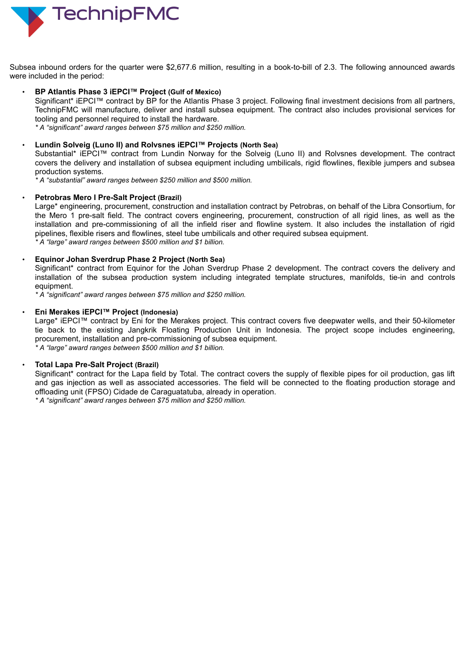

Subsea inbound orders for the quarter were \$2,677.6 million, resulting in a book-to-bill of 2.3. The following announced awards were included in the period:

• **BP Atlantis Phase 3 iEPCI™ Project (Gulf of Mexico)**

Significant\* iEPCI™ contract by BP for the Atlantis Phase 3 project. Following final investment decisions from all partners, TechnipFMC will manufacture, deliver and install subsea equipment. The contract also includes provisional services for tooling and personnel required to install the hardware.

*\* A "significant" award ranges between \$75 million and \$250 million.*

#### • **Lundin Solveig (Luno II) and Rolvsnes iEPCI™ Projects (North Sea)**

Substantial\* iEPCI™ contract from Lundin Norway for the Solveig (Luno II) and Rolvsnes development. The contract covers the delivery and installation of subsea equipment including umbilicals, rigid flowlines, flexible jumpers and subsea production systems.

*\* A "substantial" award ranges between \$250 million and \$500 million.*

#### • **Petrobras Mero I Pre-Salt Project (Brazil)**

Large\* engineering, procurement, construction and installation contract by Petrobras, on behalf of the Libra Consortium, for the Mero 1 pre-salt field. The contract covers engineering, procurement, construction of all rigid lines, as well as the installation and pre-commissioning of all the infield riser and flowline system. It also includes the installation of rigid pipelines, flexible risers and flowlines, steel tube umbilicals and other required subsea equipment. *\* A "large" award ranges between \$500 million and \$1 billion.*

#### • **Equinor Johan Sverdrup Phase 2 Project (North Sea)**

Significant\* contract from Equinor for the Johan Sverdrup Phase 2 development. The contract covers the delivery and installation of the subsea production system including integrated template structures, manifolds, tie-in and controls equipment.

*\* A "significant" award ranges between \$75 million and \$250 million.*

### • **Eni Merakes iEPCI™ Project (Indonesia)**

Large\* iEPCI™ contract by Eni for the Merakes project. This contract covers five deepwater wells, and their 50-kilometer tie back to the existing Jangkrik Floating Production Unit in Indonesia. The project scope includes engineering, procurement, installation and pre-commissioning of subsea equipment. *\* A "large" award ranges between \$500 million and \$1 billion.*

#### • **Total Lapa Pre-Salt Project (Brazil)**

Significant\* contract for the Lapa field by Total. The contract covers the supply of flexible pipes for oil production, gas lift and gas injection as well as associated accessories. The field will be connected to the floating production storage and offloading unit (FPSO) Cidade de Caraguatatuba, already in operation.

*\* A "significant" award ranges between \$75 million and \$250 million.*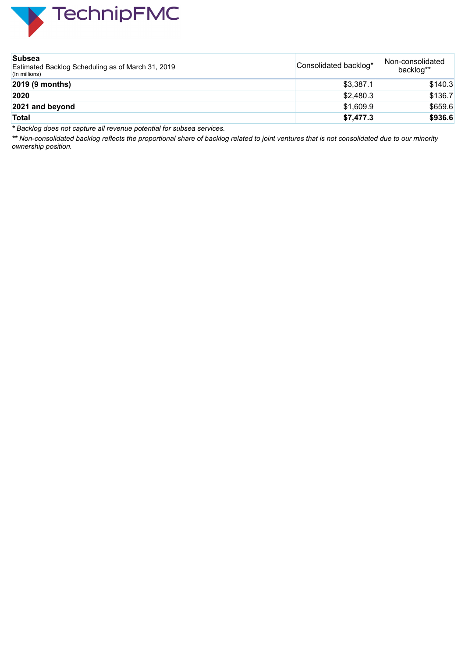

| <b>Subsea</b><br>Estimated Backlog Scheduling as of March 31, 2019<br>(In millions) | Consolidated backlog* | Non-consolidated<br>backlog** |  |  |
|-------------------------------------------------------------------------------------|-----------------------|-------------------------------|--|--|
| 2019 (9 months)                                                                     | \$3,387.1             | \$140.3                       |  |  |
| 2020                                                                                | \$2,480.3             | \$136.7                       |  |  |
| 2021 and beyond                                                                     | \$1,609.9             | \$659.6                       |  |  |
| Total                                                                               | \$7,477.3             | \$936.6                       |  |  |

*\* Backlog does not capture all revenue potential for subsea services.*

\*\* Non-consolidated backlog reflects the proportional share of backlog related to joint ventures that is not consolidated due to our minority *ownership position.*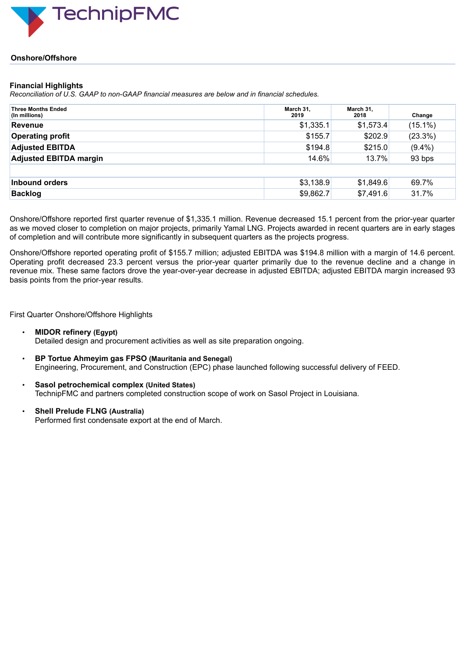

#### **Onshore/Offshore**

#### **Financial Highlights**

*Reconciliation of U.S. GAAP to non-GAAP financial measures are below and in financial schedules.*

| <b>Three Months Ended</b><br>(In millions) | March 31,<br>2019 | March 31,<br>2018 | Change     |
|--------------------------------------------|-------------------|-------------------|------------|
| <b>Revenue</b>                             | \$1,335.1         | \$1,573.4         | $(15.1\%)$ |
| <b>Operating profit</b>                    | \$155.7           | \$202.9           | (23.3%)    |
| <b>Adjusted EBITDA</b>                     | \$194.8           | \$215.0           | $(9.4\%)$  |
| <b>Adjusted EBITDA margin</b>              | 14.6%             | 13.7%             |            |
|                                            |                   |                   |            |
| Inbound orders                             | \$3,138.9         | \$1,849.6         | 69.7%      |
| <b>Backlog</b>                             | \$9,862.7         | \$7,491.6         | 31.7%      |

Onshore/Offshore reported first quarter revenue of \$1,335.1 million. Revenue decreased 15.1 percent from the prior-year quarter as we moved closer to completion on major projects, primarily Yamal LNG. Projects awarded in recent quarters are in early stages of completion and will contribute more significantly in subsequent quarters as the projects progress.

Onshore/Offshore reported operating profit of \$155.7 million; adjusted EBITDA was \$194.8 million with a margin of 14.6 percent. Operating profit decreased 23.3 percent versus the prior-year quarter primarily due to the revenue decline and a change in revenue mix. These same factors drove the year-over-year decrease in adjusted EBITDA; adjusted EBITDA margin increased 93 basis points from the prior-year results.

#### First Quarter Onshore/Offshore Highlights

- **MIDOR refinery (Egypt)** Detailed design and procurement activities as well as site preparation ongoing.
- **BP Tortue Ahmeyim gas FPSO (Mauritania and Senegal)** Engineering, Procurement, and Construction (EPC) phase launched following successful delivery of FEED.
- **Sasol petrochemical complex (United States)** TechnipFMC and partners completed construction scope of work on Sasol Project in Louisiana.
- **Shell Prelude FLNG (Australia)** Performed first condensate export at the end of March.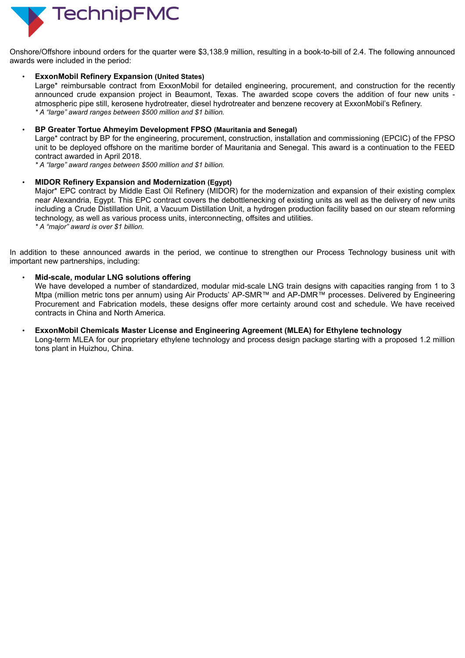

Onshore/Offshore inbound orders for the quarter were \$3,138.9 million, resulting in a book-to-bill of 2.4. The following announced awards were included in the period:

#### • **ExxonMobil Refinery Expansion (United States)**

Large\* reimbursable contract from ExxonMobil for detailed engineering, procurement, and construction for the recently announced crude expansion project in Beaumont, Texas. The awarded scope covers the addition of four new units atmospheric pipe still, kerosene hydrotreater, diesel hydrotreater and benzene recovery at ExxonMobil's Refinery. *\* A "large" award ranges between \$500 million and \$1 billion.*

#### • **BP Greater Tortue Ahmeyim Development FPSO (Mauritania and Senegal)**

Large\* contract by BP for the engineering, procurement, construction, installation and commissioning (EPCIC) of the FPSO unit to be deployed offshore on the maritime border of Mauritania and Senegal. This award is a continuation to the FEED contract awarded in April 2018.

*\* A "large" award ranges between \$500 million and \$1 billion.*

#### • **MIDOR Refinery Expansion and Modernization (Egypt)**

Major\* EPC contract by Middle East Oil Refinery (MIDOR) for the modernization and expansion of their existing complex near Alexandria, Egypt. This EPC contract covers the debottlenecking of existing units as well as the delivery of new units including a Crude Distillation Unit, a Vacuum Distillation Unit, a hydrogen production facility based on our steam reforming technology, as well as various process units, interconnecting, offsites and utilities. *\* A "major" award is over \$1 billion.*

In addition to these announced awards in the period, we continue to strengthen our Process Technology business unit with important new partnerships, including:

#### • **Mid-scale, modular LNG solutions offering**

We have developed a number of standardized, modular mid-scale LNG train designs with capacities ranging from 1 to 3 Mtpa (million metric tons per annum) using Air Products' AP-SMR™ and AP-DMR™ processes. Delivered by Engineering Procurement and Fabrication models, these designs offer more certainty around cost and schedule. We have received contracts in China and North America.

• **ExxonMobil Chemicals Master License and Engineering Agreement (MLEA) for Ethylene technology** Long-term MLEA for our proprietary ethylene technology and process design package starting with a proposed 1.2 million tons plant in Huizhou, China.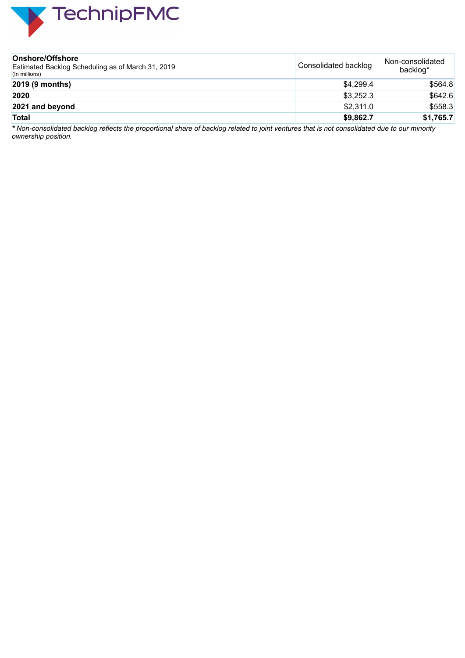

| Onshore/Offshore<br>Estimated Backlog Scheduling as of March 31, 2019<br>(In millions) | Consolidated backlog | Non-consolidated<br>backlog* |  |  |
|----------------------------------------------------------------------------------------|----------------------|------------------------------|--|--|
| 2019 (9 months)                                                                        | \$4,299.4            | \$564.8                      |  |  |
| 2020                                                                                   | \$3,252.3            | \$642.6                      |  |  |
| 2021 and beyond                                                                        | \$2,311.0            | \$558.3                      |  |  |
| <b>Total</b>                                                                           | \$9,862.7            | \$1,765.7                    |  |  |

\* Non-consolidated backlog reflects the proportional share of backlog related to joint ventures that is not consolidated due to our minority *ownership position.*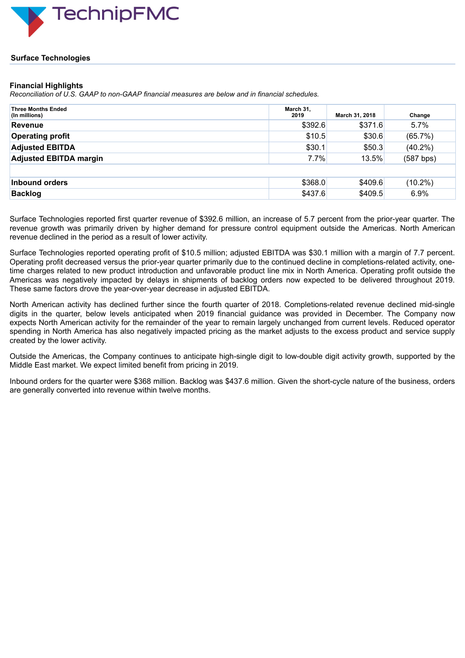

#### **Surface Technologies**

#### **Financial Highlights**

*Reconciliation of U.S. GAAP to non-GAAP financial measures are below and in financial schedules.*

| <b>Three Months Ended</b><br>(In millions) | March 31,<br>2019 | March 31, 2018 | Change     |
|--------------------------------------------|-------------------|----------------|------------|
| Revenue                                    | \$392.6           | \$371.6        | 5.7%       |
| <b>Operating profit</b>                    | \$10.5            | \$30.6         | (65.7%)    |
| <b>Adjusted EBITDA</b>                     | \$30.1            | \$50.3         | $(40.2\%)$ |
| <b>Adjusted EBITDA margin</b>              | 7.7%              | 13.5%          | (587 bps)  |
|                                            |                   |                |            |
| Inbound orders                             | \$368.0           | \$409.6        | $(10.2\%)$ |
| <b>Backlog</b>                             | \$437.6           | \$409.5        | 6.9%       |

Surface Technologies reported first quarter revenue of \$392.6 million, an increase of 5.7 percent from the prior-year quarter. The revenue growth was primarily driven by higher demand for pressure control equipment outside the Americas. North American revenue declined in the period as a result of lower activity.

Surface Technologies reported operating profit of \$10.5 million; adjusted EBITDA was \$30.1 million with a margin of 7.7 percent. Operating profit decreased versus the prior-year quarter primarily due to the continued decline in completions-related activity, onetime charges related to new product introduction and unfavorable product line mix in North America. Operating profit outside the Americas was negatively impacted by delays in shipments of backlog orders now expected to be delivered throughout 2019. These same factors drove the year-over-year decrease in adjusted EBITDA.

North American activity has declined further since the fourth quarter of 2018. Completions-related revenue declined mid-single digits in the quarter, below levels anticipated when 2019 financial guidance was provided in December. The Company now expects North American activity for the remainder of the year to remain largely unchanged from current levels. Reduced operator spending in North America has also negatively impacted pricing as the market adjusts to the excess product and service supply created by the lower activity.

Outside the Americas, the Company continues to anticipate high-single digit to low-double digit activity growth, supported by the Middle East market. We expect limited benefit from pricing in 2019.

Inbound orders for the quarter were \$368 million. Backlog was \$437.6 million. Given the short-cycle nature of the business, orders are generally converted into revenue within twelve months.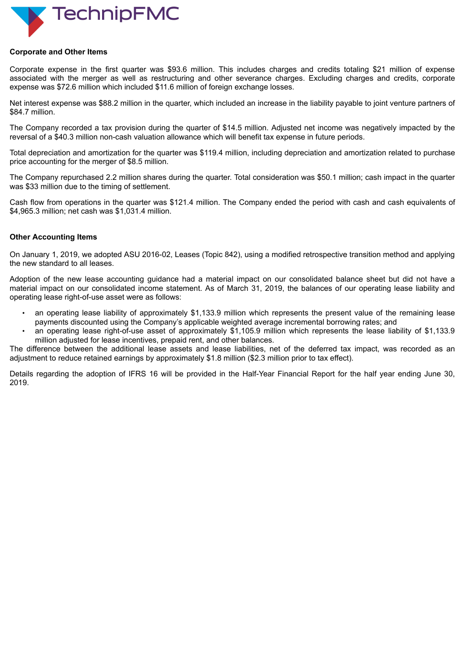

### **Corporate and Other Items**

Corporate expense in the first quarter was \$93.6 million. This includes charges and credits totaling \$21 million of expense associated with the merger as well as restructuring and other severance charges. Excluding charges and credits, corporate expense was \$72.6 million which included \$11.6 million of foreign exchange losses.

Net interest expense was \$88.2 million in the quarter, which included an increase in the liability payable to joint venture partners of \$84.7 million.

The Company recorded a tax provision during the quarter of \$14.5 million. Adjusted net income was negatively impacted by the reversal of a \$40.3 million non-cash valuation allowance which will benefit tax expense in future periods.

Total depreciation and amortization for the quarter was \$119.4 million, including depreciation and amortization related to purchase price accounting for the merger of \$8.5 million.

The Company repurchased 2.2 million shares during the quarter. Total consideration was \$50.1 million; cash impact in the quarter was \$33 million due to the timing of settlement.

Cash flow from operations in the quarter was \$121.4 million. The Company ended the period with cash and cash equivalents of \$4,965.3 million; net cash was \$1,031.4 million.

#### **Other Accounting Items**

On January 1, 2019, we adopted ASU 2016-02, Leases (Topic 842), using a modified retrospective transition method and applying the new standard to all leases.

Adoption of the new lease accounting guidance had a material impact on our consolidated balance sheet but did not have a material impact on our consolidated income statement. As of March 31, 2019, the balances of our operating lease liability and operating lease right-of-use asset were as follows:

- an operating lease liability of approximately \$1,133.9 million which represents the present value of the remaining lease payments discounted using the Company's applicable weighted average incremental borrowing rates; and
- an operating lease right-of-use asset of approximately \$1,105.9 million which represents the lease liability of \$1,133.9 million adjusted for lease incentives, prepaid rent, and other balances.

The difference between the additional lease assets and lease liabilities, net of the deferred tax impact, was recorded as an adjustment to reduce retained earnings by approximately \$1.8 million (\$2.3 million prior to tax effect).

Details regarding the adoption of IFRS 16 will be provided in the Half-Year Financial Report for the half year ending June 30, 2019.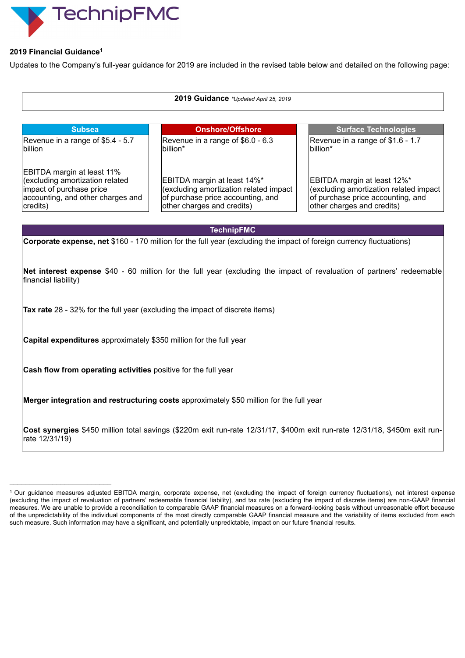

#### **2019 Financial Guidance 1**

Updates to the Company's full-year guidance for 2019 are included in the revised table below and detailed on the following page:

| <b>Subsea</b>                                                                                                                                     | <b>Onshore/Offshore</b>                                                                                                                  | <b>Surface Technologies</b>                                                                                                              |
|---------------------------------------------------------------------------------------------------------------------------------------------------|------------------------------------------------------------------------------------------------------------------------------------------|------------------------------------------------------------------------------------------------------------------------------------------|
| Revenue in a range of \$5.4 - 5.7<br>billion                                                                                                      | Revenue in a range of \$6.0 - 6.3<br>billion*                                                                                            | Revenue in a range of \$1.6 - 1.7<br>billion*                                                                                            |
| <b>EBITDA margin at least 11%</b><br>(excluding amortization related<br>impact of purchase price<br>accounting, and other charges and<br>credits) | EBITDA margin at least 14%*<br>(excluding amortization related impact<br>of purchase price accounting, and<br>other charges and credits) | EBITDA margin at least 12%*<br>(excluding amortization related impact<br>of purchase price accounting, and<br>other charges and credits) |

#### **TechnipFMC**

**Corporate expense, net** \$160 - 170 million for the full year (excluding the impact of foreign currency fluctuations)

**Net interest expense** \$40 - 60 million for the full year (excluding the impact of revaluation of partners' redeemable financial liability)

**Tax rate** 28 - 32% for the full year (excluding the impact of discrete items)

**Capital expenditures** approximately \$350 million for the full year

**Cash flow from operating activities** positive for the full year

 $\mathcal{L}_\text{max}$  , where  $\mathcal{L}_\text{max}$  and  $\mathcal{L}_\text{max}$ 

**Merger integration and restructuring costs** approximately \$50 million for the full year

**Cost synergies** \$450 million total savings (\$220m exit run-rate 12/31/17, \$400m exit run-rate 12/31/18, \$450m exit runrate 12/31/19)

<sup>1</sup>Our guidance measures adjusted EBITDA margin, corporate expense, net (excluding the impact of foreign currency fluctuations), net interest expense (excluding the impact of revaluation of partners' redeemable financial liability), and tax rate (excluding the impact of discrete items) are non-GAAP financial measures. We are unable to provide a reconciliation to comparable GAAP financial measures on a forward-looking basis without unreasonable effort because of the unpredictability of the individual components of the most directly comparable GAAP financial measure and the variability of items excluded from each such measure. Such information may have a significant, and potentially unpredictable, impact on our future financial results.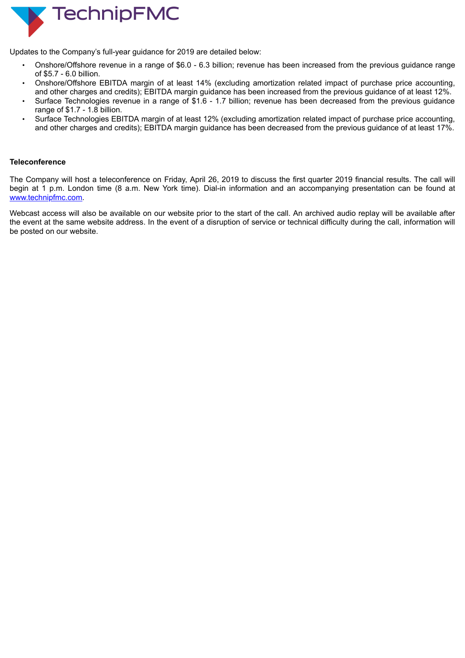

Updates to the Company's full-year guidance for 2019 are detailed below:

- Onshore/Offshore revenue in a range of \$6.0 6.3 billion; revenue has been increased from the previous guidance range of \$5.7 - 6.0 billion.
- Onshore/Offshore EBITDA margin of at least 14% (excluding amortization related impact of purchase price accounting, and other charges and credits); EBITDA margin guidance has been increased from the previous guidance of at least 12%.
- Surface Technologies revenue in a range of \$1.6 1.7 billion; revenue has been decreased from the previous guidance range of \$1.7 - 1.8 billion.
- Surface Technologies EBITDA margin of at least 12% (excluding amortization related impact of purchase price accounting, and other charges and credits); EBITDA margin guidance has been decreased from the previous guidance of at least 17%.

#### **Teleconference**

The Company will host a teleconference on Friday, April 26, 2019 to discuss the first quarter 2019 financial results. The call will begin at 1 p.m. London time (8 a.m. New York time). Dial-in information and an accompanying presentation can be found at www.technipfmc.com.

Webcast access will also be available on our website prior to the start of the call. An archived audio replay will be available after the event at the same website address. In the event of a disruption of service or technical difficulty during the call, information will be posted on our website.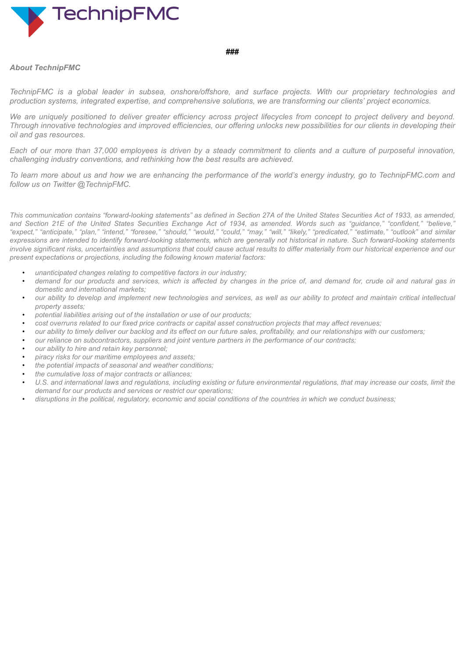

#### **###**

#### *About TechnipFMC*

TechnipFMC is a global leader in subsea, onshore/offshore, and surface projects. With our proprietary technologies and *production systems, integrated expertise, and comprehensive solutions, we are transforming our clients' project economics.*

We are uniquely positioned to deliver greater efficiency across project lifecycles from concept to project delivery and beyond. Through innovative technologies and improved efficiencies, our offering unlocks new possibilities for our clients in developing their *oil and gas resources.*

Each of our more than 37,000 employees is driven by a steady commitment to clients and a culture of purposeful innovation, *challenging industry conventions, and rethinking how the best results are achieved.*

To learn more about us and how we are enhancing the performance of the world's energy industry, go to TechnipFMC.com and *follow us on Twitter @TechnipFMC.*

This communication contains "forward-looking statements" as defined in Section 27A of the United States Securities Act of 1933, as amended, and Section 21E of the United States Securities Exchange Act of 1934, as amended. Words such as "guidance," "confident," "believe," "expect," "anticipate," "plan," "intend," "foresee," "should," "would," "could," "may," "will," "likely," "predicated," "estimate," "outlook" and similar expressions are intended to identify forward-looking statements, which are generally not historical in nature. Such forward-looking statements involve significant risks, uncertainties and assumptions that could cause actual results to differ materially from our historical experience and our *present expectations or projections, including the following known material factors:*

- *unanticipated changes relating to competitive factors in our industry;*
- demand for our products and services, which is affected by changes in the price of, and demand for, crude oil and natural gas in *domestic and international markets;*
- our ability to develop and implement new technologies and services, as well as our ability to protect and maintain critical intellectual *property assets;*
- *potential liabilities arising out of the installation or use of our products;*
- cost overruns related to our fixed price contracts or capital asset construction projects that may affect revenues;
- our ability to timely deliver our backlog and its effect on our future sales, profitability, and our relationships with our customers;
- *our reliance on subcontractors, suppliers and joint venture partners in the performance of our contracts;*
- *our ability to hire and retain key personnel;*
- *piracy risks for our maritime employees and assets;*
- *the potential impacts of seasonal and weather conditions;*
- *the cumulative loss of major contracts or alliances;*
- U.S. and international laws and regulations, including existing or future environmental regulations, that may increase our costs, limit the *demand for our products and services or restrict our operations;*
- disruptions in the political, requiatory, economic and social conditions of the countries in which we conduct business: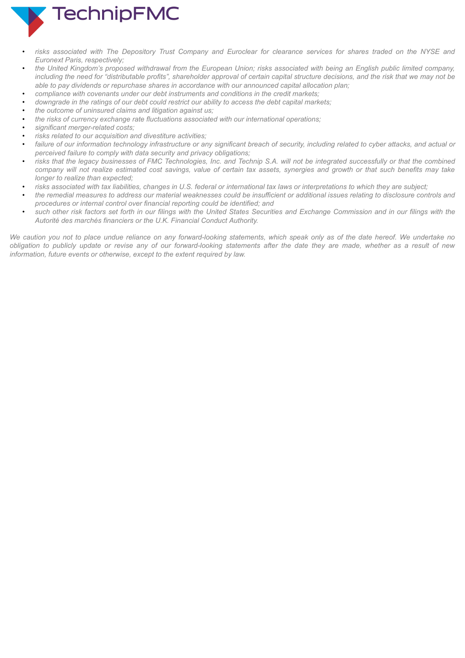

- risks associated with The Depository Trust Company and Euroclear for clearance services for shares traded on the NYSE and *Euronext Paris, respectively;*
- the United Kingdom's proposed withdrawal from the European Union; risks associated with being an English public limited company, including the need for "distributable profits", shareholder approval of certain capital structure decisions, and the risk that we may not be *able to pay dividends or repurchase shares in accordance with our announced capital allocation plan;*
- *compliance with covenants under our debt instruments and conditions in the credit markets;*
- *downgrade in the ratings of our debt could restrict our ability to access the debt capital markets;*
- *the outcome of uninsured claims and litigation against us;*
- *the risks of currency exchange rate fluctuations associated with our international operations;*
- *significant merger-related costs;*
- *risks related to our acquisition and divestiture activities;*
- failure of our information technology infrastructure or any significant breach of security, including related to cyber attacks, and actual or *perceived failure to comply with data security and privacy obligations;*
- risks that the legacy businesses of FMC Technologies, Inc. and Technip S.A. will not be integrated successfully or that the combined company will not realize estimated cost savings, value of certain tax assets, synergies and growth or that such benefits may take *longer to realize than expected;*
- risks associated with tax liabilities, changes in U.S. federal or international tax laws or interpretations to which they are subject:
- the remedial measures to address our material weaknesses could be insufficient or additional issues relating to disclosure controls and *procedures or internal control over financial reporting could be identified; and*
- such other risk factors set forth in our filings with the United States Securities and Exchange Commission and in our filings with the *Autorité des marchés financiers or the U.K. Financial Conduct Authority.*

We caution you not to place undue reliance on any forward-looking statements, which speak only as of the date hereof. We undertake no obligation to publicly update or revise any of our forward-looking statements after the date they are made, whether as a result of new *information, future events or otherwise, except to the extent required by law.*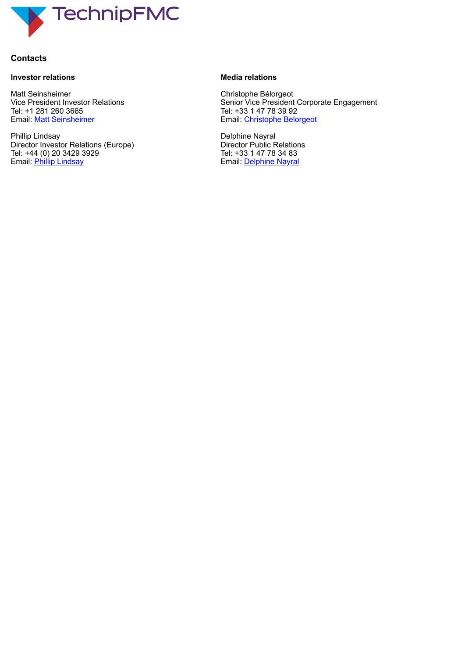

### **Contacts**

#### **Investor relations**

Matt Seinsheimer Vice President Investor Relations Tel: +1 281 260 3665 Email: Matt Seinsheimer

Phillip Lindsay Director Investor Relations (Europe) Tel: +44 (0) 20 3429 3929 Email: **Phillip Lindsay** 

#### **Media relations**

Christophe Bélorgeot Senior Vice President Corporate Engagement Tel: +33 1 47 78 39 92 Email: Christophe Belorgeot

Delphine Nayral Director Public Relations Tel: +33 1 47 78 34 83 Email: **Delphine Nayral**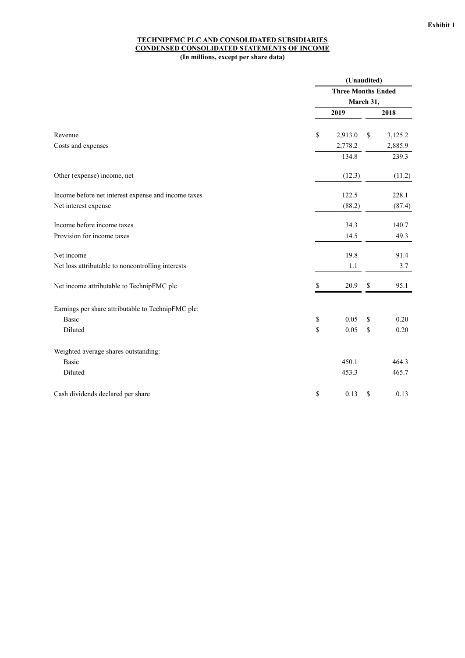#### **TECHNIPFMC PLC AND CONSOLIDATED SUBSIDIARIES CONDENSED CONSOLIDATED STATEMENTS OF INCOME (In millions, except per share data)**

|                                                     |    | (Unaudited)                            |    |          |  |  |
|-----------------------------------------------------|----|----------------------------------------|----|----------|--|--|
|                                                     |    | <b>Three Months Ended</b><br>March 31, |    |          |  |  |
|                                                     |    |                                        |    |          |  |  |
|                                                     |    | 2019                                   |    | 2018     |  |  |
| Revenue                                             | \$ | 2,913.0                                | \$ | 3,125.2  |  |  |
| Costs and expenses                                  |    | 2,778.2                                |    | 2,885.9  |  |  |
|                                                     |    | 134.8                                  |    | 239.3    |  |  |
| Other (expense) income, net                         |    | (12.3)                                 |    | (11.2)   |  |  |
| Income before net interest expense and income taxes |    | 122.5                                  |    | 228.1    |  |  |
| Net interest expense                                |    | (88.2)                                 |    | (87.4)   |  |  |
| Income before income taxes                          |    | 34.3                                   |    | 140.7    |  |  |
| Provision for income taxes                          |    | 14.5                                   |    | 49.3     |  |  |
| Net income                                          |    | 19.8                                   |    | 91.4     |  |  |
| Net loss attributable to noncontrolling interests   |    | 1.1                                    |    | 3.7      |  |  |
| Net income attributable to TechnipFMC plc           | \$ | 20.9                                   | \$ | 95.1     |  |  |
| Earnings per share attributable to TechnipFMC plc:  |    |                                        |    |          |  |  |
| <b>Basic</b>                                        | \$ | 0.05                                   | \$ | $0.20\,$ |  |  |
| Diluted                                             | \$ | 0.05                                   | \$ | $0.20\,$ |  |  |
| Weighted average shares outstanding:                |    |                                        |    |          |  |  |
| Basic                                               |    | 450.1                                  |    | 464.3    |  |  |
| Diluted                                             |    | 453.3                                  |    | 465.7    |  |  |
| Cash dividends declared per share                   | \$ | 0.13                                   | \$ | 0.13     |  |  |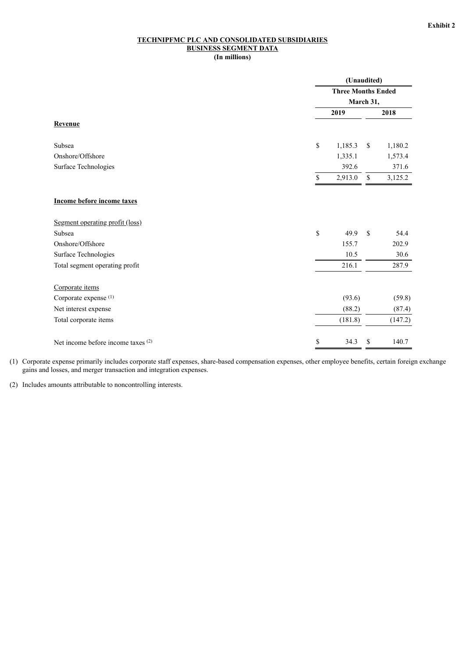#### **TECHNIPFMC PLC AND CONSOLIDATED SUBSIDIARIES BUSINESS SEGMENT DATA (In millions)**

|                                    |               | (Unaudited)<br><b>Three Months Ended</b> |           |         |  |
|------------------------------------|---------------|------------------------------------------|-----------|---------|--|
|                                    |               |                                          |           |         |  |
|                                    |               |                                          | March 31, |         |  |
|                                    |               | 2019                                     | 2018      |         |  |
| Revenue                            |               |                                          |           |         |  |
| Subsea                             | $\mathsf{\$}$ | 1,185.3                                  | \$        | 1,180.2 |  |
| Onshore/Offshore                   |               | 1,335.1                                  |           | 1,573.4 |  |
| Surface Technologies               |               | 392.6                                    |           | 371.6   |  |
|                                    | \$            | 2,913.0                                  | \$        | 3,125.2 |  |
| Income before income taxes         |               |                                          |           |         |  |
| Segment operating profit (loss)    |               |                                          |           |         |  |
| Subsea                             | $\mathsf{\$}$ | 49.9                                     | \$        | 54.4    |  |
| Onshore/Offshore                   |               | 155.7                                    |           | 202.9   |  |
| Surface Technologies               |               | 10.5                                     |           | 30.6    |  |
| Total segment operating profit     |               | 216.1                                    |           | 287.9   |  |
| Corporate items                    |               |                                          |           |         |  |
| Corporate expense (1)              |               | (93.6)                                   |           | (59.8)  |  |
| Net interest expense               |               | (88.2)                                   |           | (87.4)  |  |
| Total corporate items              |               | (181.8)                                  |           | (147.2) |  |
| Net income before income taxes (2) | \$            | 34.3                                     | \$        | 140.7   |  |

(1) Corporate expense primarily includes corporate staff expenses, share-based compensation expenses, other employee benefits, certain foreign exchange gains and losses, and merger transaction and integration expenses.

(2) Includes amounts attributable to noncontrolling interests.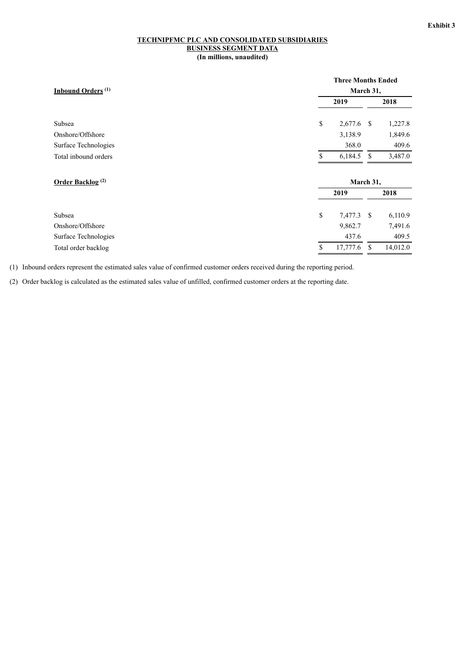#### **TECHNIPFMC PLC AND CONSOLIDATED SUBSIDIARIES BUSINESS SEGMENT DATA (In millions, unaudited)**

|                               |           | <b>Three Months Ended</b> |               |          |
|-------------------------------|-----------|---------------------------|---------------|----------|
| Inbound Orders <sup>(1)</sup> | March 31, |                           |               |          |
|                               |           | 2019                      |               | 2018     |
| Subsea                        | \$        | 2,677.6                   | - \$          | 1,227.8  |
| Onshore/Offshore              |           | 3,138.9                   |               | 1,849.6  |
| Surface Technologies          |           | 368.0                     |               | 409.6    |
| Total inbound orders          | \$        | 6,184.5                   | - \$          | 3,487.0  |
| Order Backlog <sup>(2)</sup>  |           |                           | March 31,     |          |
|                               |           | 2019                      |               | 2018     |
| Subsea                        | \$        | 7,477.3                   | <b>S</b>      | 6,110.9  |
| Onshore/Offshore              |           | 9,862.7                   |               | 7,491.6  |
| Surface Technologies          |           | 437.6                     |               | 409.5    |
| Total order backlog           | \$        | 17,777.6                  | <sup>\$</sup> | 14,012.0 |

(1) Inbound orders represent the estimated sales value of confirmed customer orders received during the reporting period.

(2) Order backlog is calculated as the estimated sales value of unfilled, confirmed customer orders at the reporting date.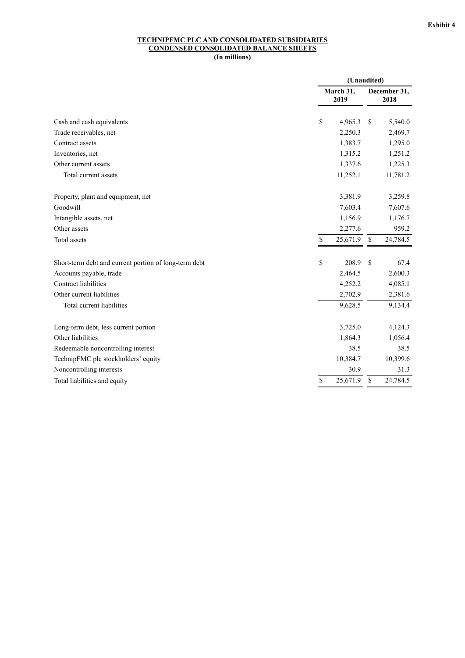#### **TECHNIPFMC PLC AND CONSOLIDATED SUBSIDIARIES CONDENSED CONSOLIDATED BALANCE SHEETS (In millions)**

|                                                       | (Unaudited)       |               |                      |  |  |  |
|-------------------------------------------------------|-------------------|---------------|----------------------|--|--|--|
|                                                       | March 31,<br>2019 |               | December 31,<br>2018 |  |  |  |
| Cash and cash equivalents                             | \$<br>4,965.3     | <sup>\$</sup> | 5,540.0              |  |  |  |
| Trade receivables, net                                | 2,250.3           |               | 2,469.7              |  |  |  |
| Contract assets                                       | 1,383.7           |               | 1,295.0              |  |  |  |
| Inventories, net                                      | 1,315.2           |               | 1,251.2              |  |  |  |
| Other current assets                                  | 1,337.6           |               | 1,225.3              |  |  |  |
| Total current assets                                  | 11,252.1          |               | 11,781.2             |  |  |  |
| Property, plant and equipment, net                    | 3,381.9           |               | 3,259.8              |  |  |  |
| Goodwill                                              | 7,603.4           |               | 7,607.6              |  |  |  |
| Intangible assets, net                                | 1,156.9           |               | 1,176.7              |  |  |  |
| Other assets                                          | 2,277.6           |               | 959.2                |  |  |  |
| Total assets                                          | \$<br>25,671.9    | $\mathbb{S}$  | 24,784.5             |  |  |  |
| Short-term debt and current portion of long-term debt | \$<br>208.9       | \$            | 67.4                 |  |  |  |
| Accounts payable, trade                               | 2,464.5           |               | 2,600.3              |  |  |  |
| Contract liabilities                                  | 4,252.2           |               | 4,085.1              |  |  |  |
| Other current liabilities                             | 2,702.9           |               | 2,381.6              |  |  |  |
| Total current liabilities                             | 9,628.5           |               | 9,134.4              |  |  |  |
| Long-term debt, less current portion                  | 3,725.0           |               | 4,124.3              |  |  |  |
| Other liabilities                                     | 1,864.3           |               | 1,056.4              |  |  |  |
| Redeemable noncontrolling interest                    | 38.5              |               | 38.5                 |  |  |  |
| TechnipFMC plc stockholders' equity                   | 10,384.7          |               | 10,399.6             |  |  |  |
| Noncontrolling interests                              | 30.9              |               | 31.3                 |  |  |  |
| Total liabilities and equity                          | \$<br>25,671.9    | \$            | 24,784.5             |  |  |  |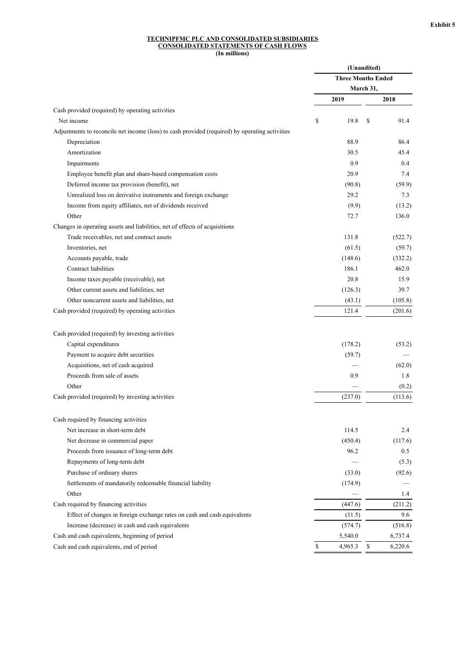#### **TECHNIPFMC PLC AND CONSOLIDATED SUBSIDIARIES CONSOLIDATED STATEMENTS OF CASH FLOWS (In millions)**

|                                                                                                | (Unaudited)<br><b>Three Months Ended</b> |           |    |         |  |
|------------------------------------------------------------------------------------------------|------------------------------------------|-----------|----|---------|--|
|                                                                                                |                                          |           |    |         |  |
|                                                                                                |                                          | March 31, |    |         |  |
|                                                                                                |                                          | 2019      |    | 2018    |  |
| Cash provided (required) by operating activities                                               |                                          |           |    |         |  |
| Net income                                                                                     | \$                                       | 19.8      | \$ | 91.4    |  |
| Adjustments to reconcile net income (loss) to cash provided (required) by operating activities |                                          |           |    |         |  |
| Depreciation                                                                                   |                                          | 88.9      |    | 86.4    |  |
| Amortization                                                                                   |                                          | 30.5      |    | 45.4    |  |
| Impairments                                                                                    |                                          | 0.9       |    | 0.4     |  |
| Employee benefit plan and share-based compensation costs                                       |                                          | 20.9      |    | 7.4     |  |
| Deferred income tax provision (benefit), net                                                   |                                          | (90.8)    |    | (59.9)  |  |
| Unrealized loss on derivative instruments and foreign exchange                                 |                                          | 29.2      |    | 7.3     |  |
| Income from equity affiliates, net of dividends received                                       |                                          | (9.9)     |    | (13.2)  |  |
| Other                                                                                          |                                          | 72.7      |    | 136.0   |  |
| Changes in operating assets and liabilities, net of effects of acquisitions                    |                                          |           |    |         |  |
| Trade receivables, net and contract assets                                                     |                                          | 131.8     |    | (522.7) |  |
| Inventories, net                                                                               |                                          | (61.5)    |    | (59.7)  |  |
| Accounts payable, trade                                                                        |                                          | (148.6)   |    | (332.2) |  |
| Contract liabilities                                                                           |                                          | 186.1     |    | 462.0   |  |
| Income taxes payable (receivable), net                                                         |                                          | 20.8      |    | 15.9    |  |
| Other current assets and liabilities, net                                                      |                                          | (126.3)   |    | 39.7    |  |
| Other noncurrent assets and liabilities, net                                                   |                                          | (43.1)    |    | (105.8) |  |
| Cash provided (required) by operating activities                                               |                                          | 121.4     |    | (201.6) |  |
| Cash provided (required) by investing activities                                               |                                          |           |    |         |  |
| Capital expenditures                                                                           |                                          | (178.2)   |    | (53.2)  |  |
| Payment to acquire debt securities                                                             |                                          | (59.7)    |    |         |  |
| Acquisitions, net of cash acquired                                                             |                                          |           |    | (62.0)  |  |
| Proceeds from sale of assets                                                                   |                                          | 0.9       |    | 1.8     |  |
| Other                                                                                          |                                          |           |    | (0.2)   |  |
| Cash provided (required) by investing activities                                               |                                          | (237.0)   |    | (113.6) |  |
|                                                                                                |                                          |           |    |         |  |
| Cash required by financing activities                                                          |                                          |           |    |         |  |
| Net increase in short-term debt                                                                |                                          | 114.5     |    | 2.4     |  |
| Net decrease in commercial paper                                                               |                                          | (450.4)   |    | (117.6) |  |
| Proceeds from issuance of long-term debt                                                       |                                          | 96.2      |    | 0.5     |  |
| Repayments of long-term debt                                                                   |                                          |           |    | (5.3)   |  |
| Purchase of ordinary shares                                                                    |                                          | (33.0)    |    | (92.6)  |  |
| Settlements of mandatorily redeemable financial liability                                      |                                          | (174.9)   |    |         |  |
| Other                                                                                          |                                          |           |    | 1.4     |  |
| Cash required by financing activities                                                          |                                          | (447.6)   |    | (211.2) |  |
| Effect of changes in foreign exchange rates on cash and cash equivalents                       |                                          | (11.5)    |    | 9.6     |  |
| Increase (decrease) in cash and cash equivalents                                               |                                          | (574.7)   |    | (516.8) |  |
| Cash and cash equivalents, beginning of period                                                 |                                          | 5,540.0   |    | 6,737.4 |  |
| Cash and cash equivalents, end of period                                                       | \$                                       | 4,965.3   | \$ | 6,220.6 |  |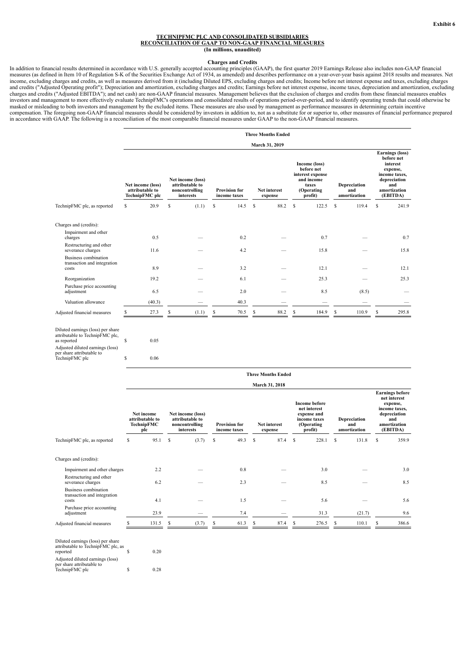#### **TECHNIPFMC PLC AND CONSOLIDATED SUBSIDIARIES RECONCILIATION OF GAAP TO NON-GAAP FINANCIAL MEASURES (In millions, unaudited)**

#### **Charges and Credits**

In addition to financial results determined in accordance with U.S. generally accepted accounting principles (GAAP), the first quarter 2019 Earnings Release also includes non-GAAP financial measures (as defined in Item 10 of Regulation S-K of the Securities Exchange Act of 1934, as amended) and describes performance on a year-over-year basis against 2018 results and measures. Net income, excluding charges and credits, as well as measures derived from it (including Diluted EPS, excluding charges and credits; Income before net interest expense and taxes, excluding charges and credits ("Adjusted Operating profit"); Depreciation and amortization, excluding charges and credits; Earnings before net interest expense, income taxes, depreciation and amortization, excluding charges and credits ("Adjusted EBITDA"); and net cash) are non-GAAP financial measures. Management believes that the exclusion of charges and credits from these financial measures enables investors and management to more effectively evaluate TechnipFMC's operations and consolidated results of operations period-over-period, and to identify operating trends that could otherwise be masked or misleading to both investors and management by the excluded items. These measures are also used by management as performance measures in determining certain incentive compensation. The foregoing non-GAAP financial measures should be considered by investors in addition to, not as a substitute for or superior to, other measures of financial performance prepared in accordance with GAAP. The following is a reconciliation of the most comparable financial measures under GAAP to the non-GAAP financial measures.

|                                                                     |                |                                                        |    |                                                                     |                                      |      |                         | <b>Three Months Ended</b> |                                                                                                 |       |                                     |       |                                                                                                                                  |       |
|---------------------------------------------------------------------|----------------|--------------------------------------------------------|----|---------------------------------------------------------------------|--------------------------------------|------|-------------------------|---------------------------|-------------------------------------------------------------------------------------------------|-------|-------------------------------------|-------|----------------------------------------------------------------------------------------------------------------------------------|-------|
|                                                                     | March 31, 2019 |                                                        |    |                                                                     |                                      |      |                         |                           |                                                                                                 |       |                                     |       |                                                                                                                                  |       |
|                                                                     |                | Net income (loss)<br>attributable to<br>TechnipFMC plc |    | Net income (loss)<br>attributable to<br>noncontrolling<br>interests | <b>Provision for</b><br>income taxes |      | Net interest<br>expense |                           | Income (loss)<br>before net<br>interest expense<br>and income<br>taxes<br>(Operating<br>profit) |       | Depreciation<br>and<br>amortization |       | <b>Earnings</b> (loss)<br>before net<br>interest<br>expense,<br>income taxes.<br>depreciation<br>and<br>amortization<br>(EBITDA) |       |
| TechnipFMC plc, as reported                                         | S              | 20.9                                                   | \$ | (1.1)                                                               | \$                                   | 14.5 | <sup>\$</sup>           | 88.2                      | s                                                                                               | 122.5 | S                                   | 119.4 | S                                                                                                                                | 241.9 |
| Charges and (credits):                                              |                |                                                        |    |                                                                     |                                      |      |                         |                           |                                                                                                 |       |                                     |       |                                                                                                                                  |       |
| Impairment and other<br>charges                                     |                | 0.5                                                    |    |                                                                     |                                      | 0.2  |                         |                           |                                                                                                 | 0.7   |                                     |       |                                                                                                                                  | 0.7   |
| Restructuring and other<br>severance charges                        |                | 11.6                                                   |    |                                                                     |                                      | 4.2  |                         |                           |                                                                                                 | 15.8  |                                     |       |                                                                                                                                  | 15.8  |
| <b>Business combination</b><br>transaction and integration<br>costs |                | 8.9                                                    |    |                                                                     |                                      | 3.2  |                         |                           |                                                                                                 | 12.1  |                                     |       |                                                                                                                                  | 12.1  |
| Reorganization                                                      |                | 19.2                                                   |    |                                                                     |                                      | 6.1  |                         |                           |                                                                                                 | 25.3  |                                     |       |                                                                                                                                  | 25.3  |
| Purchase price accounting<br>adjustment                             |                | 6.5                                                    |    |                                                                     |                                      | 2.0  |                         |                           |                                                                                                 | 8.5   |                                     | (8.5) |                                                                                                                                  |       |
| Valuation allowance                                                 |                | (40.3)                                                 |    |                                                                     |                                      | 40.3 |                         |                           |                                                                                                 |       |                                     |       |                                                                                                                                  |       |
| Adjusted financial measures                                         | S              | 27.3                                                   | \$ | (1.1)                                                               | S                                    | 70.5 | £.                      | 88.2                      | \$.                                                                                             | 184.9 | <b>S</b>                            | 110.9 | S                                                                                                                                | 295.8 |

Diluted earnings (loss) per share attributable to TechnipFMC plc, as reported <br>  $\frac{1}{2}$  8 0.05

Adjusted diluted earnings (loss) per share attributable to TechnipFMC plc \$ 0.06

|                                                              |                                                    |       |                                                                     |       |                                      |      |                         | <b>Three Months Ended</b> |                                                                                              |       |                                     |        |                                                                                                                        |       |
|--------------------------------------------------------------|----------------------------------------------------|-------|---------------------------------------------------------------------|-------|--------------------------------------|------|-------------------------|---------------------------|----------------------------------------------------------------------------------------------|-------|-------------------------------------|--------|------------------------------------------------------------------------------------------------------------------------|-------|
|                                                              | March 31, 2018                                     |       |                                                                     |       |                                      |      |                         |                           |                                                                                              |       |                                     |        |                                                                                                                        |       |
|                                                              | Net income<br>attributable to<br>TechnipFMC<br>plc |       | Net income (loss)<br>attributable to<br>noncontrolling<br>interests |       | <b>Provision for</b><br>income taxes |      | Net interest<br>expense |                           | <b>Income before</b><br>net interest<br>expense and<br>income taxes<br>(Operating<br>profit) |       | Depreciation<br>and<br>amortization |        | <b>Earnings before</b><br>net interest<br>expense,<br>income taxes,<br>depreciation<br>and<br>amortization<br>(EBITDA) |       |
| TechnipFMC plc, as reported                                  | S                                                  | 95.1  | S                                                                   | (3.7) | \$                                   | 49.3 | S                       | 87.4                      | S                                                                                            | 228.1 | S                                   | 131.8  | S                                                                                                                      | 359.9 |
| Charges and (credits):                                       |                                                    |       |                                                                     |       |                                      |      |                         |                           |                                                                                              |       |                                     |        |                                                                                                                        |       |
| Impairment and other charges                                 |                                                    | 2.2   |                                                                     |       |                                      | 0.8  |                         |                           |                                                                                              | 3.0   |                                     |        |                                                                                                                        | 3.0   |
| Restructuring and other<br>severance charges                 |                                                    | 6.2   |                                                                     |       |                                      | 2.3  |                         |                           |                                                                                              | 8.5   |                                     |        |                                                                                                                        | 8.5   |
| Business combination<br>transaction and integration<br>costs |                                                    | 4.1   |                                                                     |       |                                      | 1.5  |                         |                           |                                                                                              | 5.6   |                                     |        |                                                                                                                        | 5.6   |
| Purchase price accounting<br>adjustment                      |                                                    | 23.9  |                                                                     |       |                                      | 7.4  |                         |                           |                                                                                              | 31.3  |                                     | (21.7) |                                                                                                                        | 9.6   |
| Adjusted financial measures                                  | s                                                  | 131.5 | \$                                                                  | (3.7) | \$                                   | 61.3 | S                       | 87.4                      | s                                                                                            | 276.5 | S                                   | 110.1  | s                                                                                                                      | 386.6 |

 $\frac{1}{s}$  to TechnipFMC plc, as reported 9.20 Adjusted diluted earnings (loss) per share attributable to<br>
TechnipFMC plc  $$ 0.28$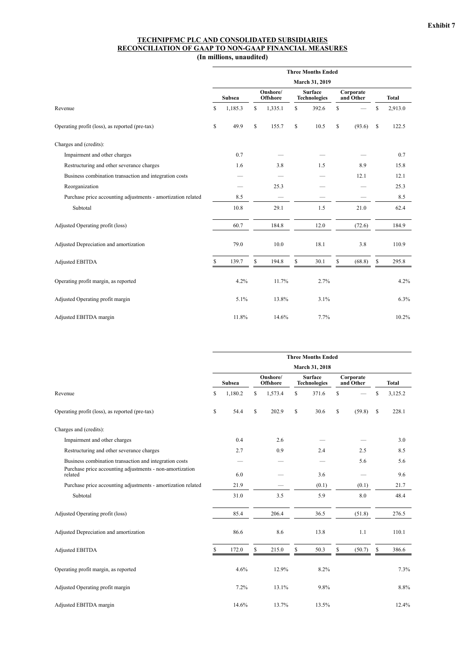#### **TECHNIPFMC PLC AND CONSOLIDATED SUBSIDIARIES RECONCILIATION OF GAAP TO NON-GAAP FINANCIAL MEASURES (In millions, unaudited)**

|                                                              | <b>Three Months Ended</b> |               |    |                             |    |                                       |    |                        |    |              |
|--------------------------------------------------------------|---------------------------|---------------|----|-----------------------------|----|---------------------------------------|----|------------------------|----|--------------|
|                                                              | March 31, 2019            |               |    |                             |    |                                       |    |                        |    |              |
|                                                              |                           | <b>Subsea</b> |    | Onshore/<br><b>Offshore</b> |    | <b>Surface</b><br><b>Technologies</b> |    | Corporate<br>and Other |    | <b>Total</b> |
| Revenue                                                      | \$                        | 1,185.3       | \$ | 1,335.1                     | \$ | 392.6                                 | \$ |                        | \$ | 2,913.0      |
| Operating profit (loss), as reported (pre-tax)               | \$                        | 49.9          | \$ | 155.7                       | \$ | 10.5                                  | \$ | (93.6)                 | \$ | 122.5        |
| Charges and (credits):                                       |                           |               |    |                             |    |                                       |    |                        |    |              |
| Impairment and other charges                                 |                           | 0.7           |    |                             |    |                                       |    |                        |    | 0.7          |
| Restructuring and other severance charges                    |                           | 1.6           |    | 3.8                         |    | 1.5                                   |    | 8.9                    |    | 15.8         |
| Business combination transaction and integration costs       |                           |               |    |                             |    |                                       |    | 12.1                   |    | 12.1         |
| Reorganization                                               |                           |               |    | 25.3                        |    |                                       |    |                        |    | 25.3         |
| Purchase price accounting adjustments - amortization related |                           | 8.5           |    |                             |    |                                       |    |                        |    | 8.5          |
| Subtotal                                                     |                           | 10.8          |    | 29.1                        |    | 1.5                                   |    | 21.0                   |    | 62.4         |
| Adjusted Operating profit (loss)                             |                           | 60.7          |    | 184.8                       |    | 12.0                                  |    | (72.6)                 |    | 184.9        |
| Adjusted Depreciation and amortization                       |                           | 79.0          |    | 10.0                        |    | 18.1                                  |    | 3.8                    |    | 110.9        |
| <b>Adjusted EBITDA</b>                                       | \$                        | 139.7         | \$ | 194.8                       | \$ | 30.1                                  | \$ | (68.8)                 | \$ | 295.8        |
| Operating profit margin, as reported                         |                           | 4.2%          |    | 11.7%                       |    | 2.7%                                  |    |                        |    | 4.2%         |
| Adjusted Operating profit margin                             |                           | 5.1%          |    | 13.8%                       |    | 3.1%                                  |    |                        |    | 6.3%         |
| Adjusted EBITDA margin                                       |                           | 11.8%         |    | 14.6%                       |    | 7.7%                                  |    |                        |    | 10.2%        |

|                                                                     | <b>Three Months Ended</b> |               |    |                             |    |                                       |    |                        |    |              |  |
|---------------------------------------------------------------------|---------------------------|---------------|----|-----------------------------|----|---------------------------------------|----|------------------------|----|--------------|--|
|                                                                     |                           |               |    |                             |    | March 31, 2018                        |    |                        |    |              |  |
|                                                                     |                           | <b>Subsea</b> |    | Onshore/<br><b>Offshore</b> |    | <b>Surface</b><br><b>Technologies</b> |    | Corporate<br>and Other |    | <b>Total</b> |  |
| Revenue                                                             | \$                        | 1,180.2       | \$ | 1,573.4                     | \$ | 371.6                                 | \$ |                        | \$ | 3,125.2      |  |
| Operating profit (loss), as reported (pre-tax)                      | \$                        | 54.4          | \$ | 202.9                       | \$ | 30.6                                  | \$ | (59.8)                 | \$ | 228.1        |  |
| Charges and (credits):                                              |                           |               |    |                             |    |                                       |    |                        |    |              |  |
| Impairment and other charges                                        |                           | 0.4           |    | 2.6                         |    |                                       |    |                        |    | 3.0          |  |
| Restructuring and other severance charges                           |                           | 2.7           |    | 0.9                         |    | 2.4                                   |    | 2.5                    |    | 8.5          |  |
| Business combination transaction and integration costs              |                           |               |    |                             |    |                                       |    | 5.6                    |    | 5.6          |  |
| Purchase price accounting adjustments - non-amortization<br>related |                           | 6.0           |    |                             |    | 3.6                                   |    |                        |    | 9.6          |  |
| Purchase price accounting adjustments - amortization related        |                           | 21.9          |    |                             |    | (0.1)                                 |    | (0.1)                  |    | 21.7         |  |
| Subtotal                                                            |                           | 31.0          |    | 3.5                         |    | 5.9                                   |    | 8.0                    |    | 48.4         |  |
| Adjusted Operating profit (loss)                                    |                           | 85.4          |    | 206.4                       |    | 36.5                                  |    | (51.8)                 |    | 276.5        |  |
| Adjusted Depreciation and amortization                              |                           | 86.6          |    | 8.6                         |    | 13.8                                  |    | 1.1                    |    | 110.1        |  |
| <b>Adjusted EBITDA</b>                                              | \$                        | 172.0         | \$ | 215.0                       | \$ | 50.3                                  | \$ | (50.7)                 | \$ | 386.6        |  |
| Operating profit margin, as reported                                |                           | 4.6%          |    | 12.9%                       |    | 8.2%                                  |    |                        |    | 7.3%         |  |
| Adjusted Operating profit margin                                    |                           | 7.2%          |    | 13.1%                       |    | 9.8%                                  |    |                        |    | 8.8%         |  |
| Adjusted EBITDA margin                                              |                           | 14.6%         |    | 13.7%                       |    | 13.5%                                 |    |                        |    | 12.4%        |  |